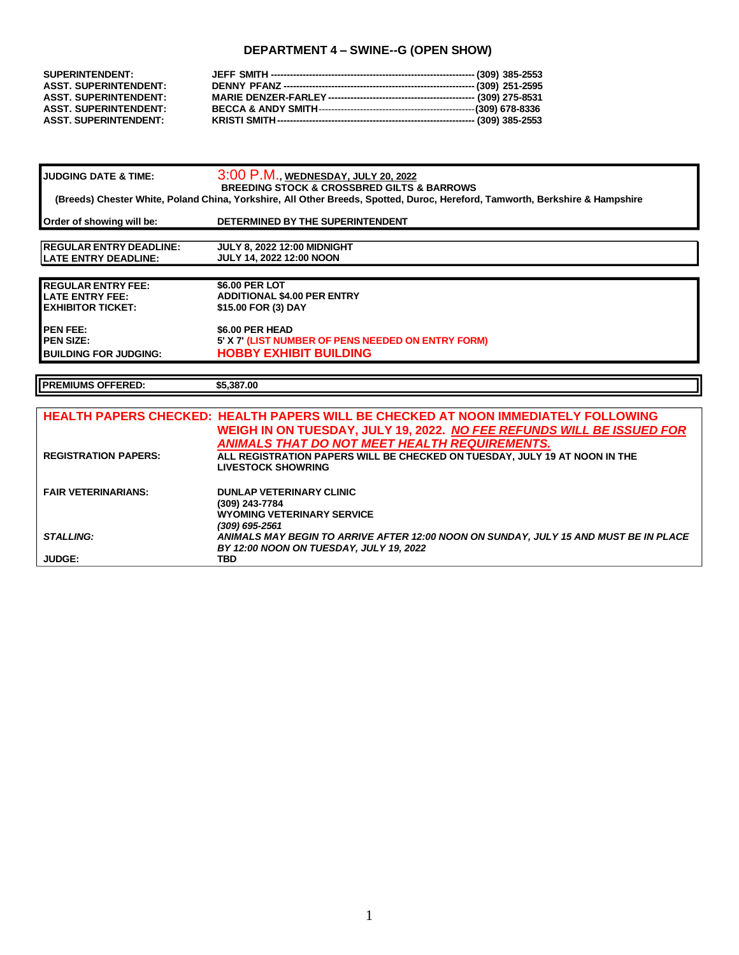# **DEPARTMENT 4 – SWINE--G (OPEN SHOW)**

| <b>SUPERINTENDENT:</b>                                       |  |
|--------------------------------------------------------------|--|
| <b>ASST. SUPERINTENDENT:</b><br><b>ASST. SUPERINTENDENT:</b> |  |
| <b>ASST. SUPERINTENDENT:</b>                                 |  |
| <b>ASST. SUPERINTENDENT:</b>                                 |  |

| <b>JUDGING DATE &amp; TIME:</b>                                                                                                                                                           | 3:00 P.M., WEDNESDAY, JULY 20, 2022                |  |  |  |
|-------------------------------------------------------------------------------------------------------------------------------------------------------------------------------------------|----------------------------------------------------|--|--|--|
| <b>BREEDING STOCK &amp; CROSSBRED GILTS &amp; BARROWS</b><br>(Breeds) Chester White, Poland China, Yorkshire, All Other Breeds, Spotted, Duroc, Hereford, Tamworth, Berkshire & Hampshire |                                                    |  |  |  |
| Order of showing will be:                                                                                                                                                                 | DETERMINED BY THE SUPERINTENDENT                   |  |  |  |
|                                                                                                                                                                                           |                                                    |  |  |  |
| <b>IREGULAR ENTRY DEADLINE:</b>                                                                                                                                                           | <b>JULY 8, 2022 12:00 MIDNIGHT</b>                 |  |  |  |
| <b>ILATE ENTRY DEADLINE:</b>                                                                                                                                                              | <b>JULY 14, 2022 12:00 NOON</b>                    |  |  |  |
|                                                                                                                                                                                           |                                                    |  |  |  |
| <b>REGULAR ENTRY FEE:</b>                                                                                                                                                                 | \$6.00 PER LOT                                     |  |  |  |
| LATE ENTRY FEE:                                                                                                                                                                           | <b>ADDITIONAL \$4.00 PER ENTRY</b>                 |  |  |  |
| EXHIBITOR TICKET:                                                                                                                                                                         | \$15.00 FOR (3) DAY                                |  |  |  |
| <b>PEN FEE:</b>                                                                                                                                                                           | \$6.00 PER HEAD                                    |  |  |  |
| <b>PEN SIZE:</b>                                                                                                                                                                          | 5' X 7' (LIST NUMBER OF PENS NEEDED ON ENTRY FORM) |  |  |  |
| <b>BUILDING FOR JUDGING:</b>                                                                                                                                                              | <b>HOBBY EXHIBIT BUILDING</b>                      |  |  |  |

**PREMIUMS OFFERED: \$5,387.00**

|                             | <b>HEALTH PAPERS CHECKED: HEALTH PAPERS WILL BE CHECKED AT NOON IMMEDIATELY FOLLOWING</b> |
|-----------------------------|-------------------------------------------------------------------------------------------|
|                             | WEIGH IN ON TUESDAY, JULY 19, 2022. NO FEE REFUNDS WILL BE ISSUED FOR                     |
|                             | ANIMALS THAT DO NOT MEET HEALTH REQUIREMENTS.                                             |
| <b>REGISTRATION PAPERS:</b> | ALL REGISTRATION PAPERS WILL BE CHECKED ON TUESDAY, JULY 19 AT NOON IN THE                |
|                             | <b>LIVESTOCK SHOWRING</b>                                                                 |
| <b>FAIR VETERINARIANS:</b>  | <b>DUNLAP VETERINARY CLINIC</b>                                                           |
|                             | (309) 243-7784                                                                            |
|                             | <b>WYOMING VETERINARY SERVICE</b>                                                         |
|                             | (309) 695-2561                                                                            |
| <b>STALLING:</b>            | ANIMALS MAY BEGIN TO ARRIVE AFTER 12:00 NOON ON SUNDAY, JULY 15 AND MUST BE IN PLACE      |
|                             | BY 12:00 NOON ON TUESDAY, JULY 19, 2022                                                   |
| <b>JUDGE:</b>               | TBD.                                                                                      |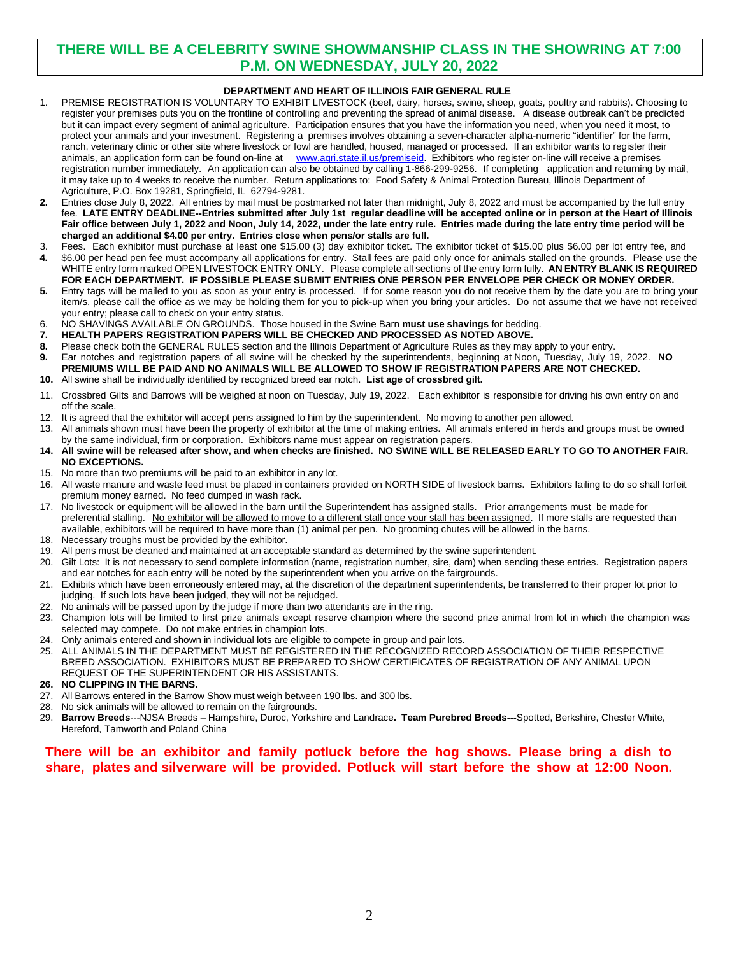# **THERE WILL BE A CELEBRITY SWINE SHOWMANSHIP CLASS IN THE SHOWRING AT 7:00 P.M. ON WEDNESDAY, JULY 20, 2022**

## **DEPARTMENT AND HEART OF ILLINOIS FAIR GENERAL RULE**

- 1. PREMISE REGISTRATION IS VOLUNTARY TO EXHIBIT LIVESTOCK (beef, dairy, horses, swine, sheep, goats, poultry and rabbits). Choosing to register your premises puts you on the frontline of controlling and preventing the spread of animal disease. A disease outbreak can't be predicted but it can impact every segment of animal agriculture. Participation ensures that you have the information you need, when you need it most, to protect your animals and your investment. Registering a premises involves obtaining a seven-character alpha-numeric "identifier" for the farm, ranch, veterinary clinic or other site where livestock or fowl are handled, housed, managed or processed. If an exhibitor wants to register their animals, an application form can be found on-line at [www.agri.state.il.us/premiseid.](http://www.agri.state.il.us/premiseid) Exhibitors who register on-line will receive a premises registration number immediately. An application can also be obtained by calling 1-866-299-9256. If completing application and returning by mail, it may take up to 4 weeks to receive the number. Return applications to: Food Safety & Animal Protection Bureau, Illinois Department of Agriculture, P.O. Box 19281, Springfield, IL 62794-9281.
- **2.** Entries close July 8, 2022. All entries by mail must be postmarked not later than midnight, July 8, 2022 and must be accompanied by the full entry fee. **LATE ENTRY DEADLINE--Entries submitted after July 1st regular deadline will be accepted online or in person at the Heart of Illinois Fair office between July 1, 2022 and Noon, July 14, 2022, under the late entry rule. Entries made during the late entry time period will be charged an additional \$4.00 per entry. Entries close when pens/or stalls are full.**
- 3. Fees. Each exhibitor must purchase at least one \$15.00 (3) day exhibitor ticket. The exhibitor ticket of \$15.00 plus \$6.00 per lot entry fee, and
- **4.** \$6.00 per head pen fee must accompany all applications for entry. Stall fees are paid only once for animals stalled on the grounds. Please use the WHITE entry form marked OPEN LIVESTOCK ENTRY ONLY. Please complete all sections of the entry form fully. **AN ENTRY BLANK IS REQUIRED FOR EACH DEPARTMENT. IF POSSIBLE PLEASE SUBMIT ENTRIES ONE PERSON PER ENVELOPE PER CHECK OR MONEY ORDER.**
- **5.** Entry tags will be mailed to you as soon as your entry is processed. If for some reason you do not receive them by the date you are to bring your item/s, please call the office as we may be holding them for you to pick-up when you bring your articles. Do not assume that we have not received your entry; please call to check on your entry status.
- 6. NO SHAVINGS AVAILABLE ON GROUNDS. Those housed in the Swine Barn **must use shavings** for bedding.
- **7. HEALTH PAPERS REGISTRATION PAPERS WILL BE CHECKED AND PROCESSED AS NOTED ABOVE.**
- **8.** Please check both the GENERAL RULES section and the Illinois Department of Agriculture Rules as they may apply to your entry.
- **9.** Ear notches and registration papers of all swine will be checked by the superintendents, beginning at Noon, Tuesday, July 19, 2022. **NO PREMIUMS WILL BE PAID AND NO ANIMALS WILL BE ALLOWED TO SHOW IF REGISTRATION PAPERS ARE NOT CHECKED. 10.** All swine shall be individually identified by recognized breed ear notch. **List age of crossbred gilt.**
- 11. Crossbred Gilts and Barrows will be weighed at noon on Tuesday, July 19, 2022. Each exhibitor is responsible for driving his own entry on and off the scale.
- 12. It is agreed that the exhibitor will accept pens assigned to him by the superintendent. No moving to another pen allowed.
- 13. All animals shown must have been the property of exhibitor at the time of making entries. All animals entered in herds and groups must be owned by the same individual, firm or corporation. Exhibitors name must appear on registration papers.
- **14. All swine will be released after show, and when checks are finished. NO SWINE WILL BE RELEASED EARLY TO GO TO ANOTHER FAIR. NO EXCEPTIONS.**
- 15. No more than two premiums will be paid to an exhibitor in any lot.
- 16. All waste manure and waste feed must be placed in containers provided on NORTH SIDE of livestock barns. Exhibitors failing to do so shall forfeit premium money earned. No feed dumped in wash rack.
- 17. No livestock or equipment will be allowed in the barn until the Superintendent has assigned stalls. Prior arrangements must be made for preferential stalling. No exhibitor will be allowed to move to a different stall once your stall has been assigned. If more stalls are requested than available, exhibitors will be required to have more than (1) animal per pen. No grooming chutes will be allowed in the barns.
- 18. Necessary troughs must be provided by the exhibitor.
- 19. All pens must be cleaned and maintained at an acceptable standard as determined by the swine superintendent.
- 20. Gilt Lots: It is not necessary to send complete information (name, registration number, sire, dam) when sending these entries. Registration papers and ear notches for each entry will be noted by the superintendent when you arrive on the fairgrounds.
- 21. Exhibits which have been erroneously entered may, at the discretion of the department superintendents, be transferred to their proper lot prior to judging. If such lots have been judged, they will not be rejudged.
- 22. No animals will be passed upon by the judge if more than two attendants are in the ring.
- 23. Champion lots will be limited to first prize animals except reserve champion where the second prize animal from lot in which the champion was selected may compete. Do not make entries in champion lots.
- 24. Only animals entered and shown in individual lots are eligible to compete in group and pair lots.
- 25. ALL ANIMALS IN THE DEPARTMENT MUST BE REGISTERED IN THE RECOGNIZED RECORD ASSOCIATION OF THEIR RESPECTIVE BREED ASSOCIATION. EXHIBITORS MUST BE PREPARED TO SHOW CERTIFICATES OF REGISTRATION OF ANY ANIMAL UPON REQUEST OF THE SUPERINTENDENT OR HIS ASSISTANTS.
- **26. NO CLIPPING IN THE BARNS.**
- 27. All Barrows entered in the Barrow Show must weigh between 190 lbs. and 300 lbs.
- 28. No sick animals will be allowed to remain on the fairgrounds.
- 29. **Barrow Breeds**---NJSA Breeds Hampshire, Duroc, Yorkshire and Landrace**. Team Purebred Breeds---**Spotted, Berkshire, Chester White, Hereford, Tamworth and Poland China

## **There will be an exhibitor and family potluck before the hog shows. Please bring a dish to share, plates and silverware will be provided. Potluck will start before the show at 12:00 Noon.**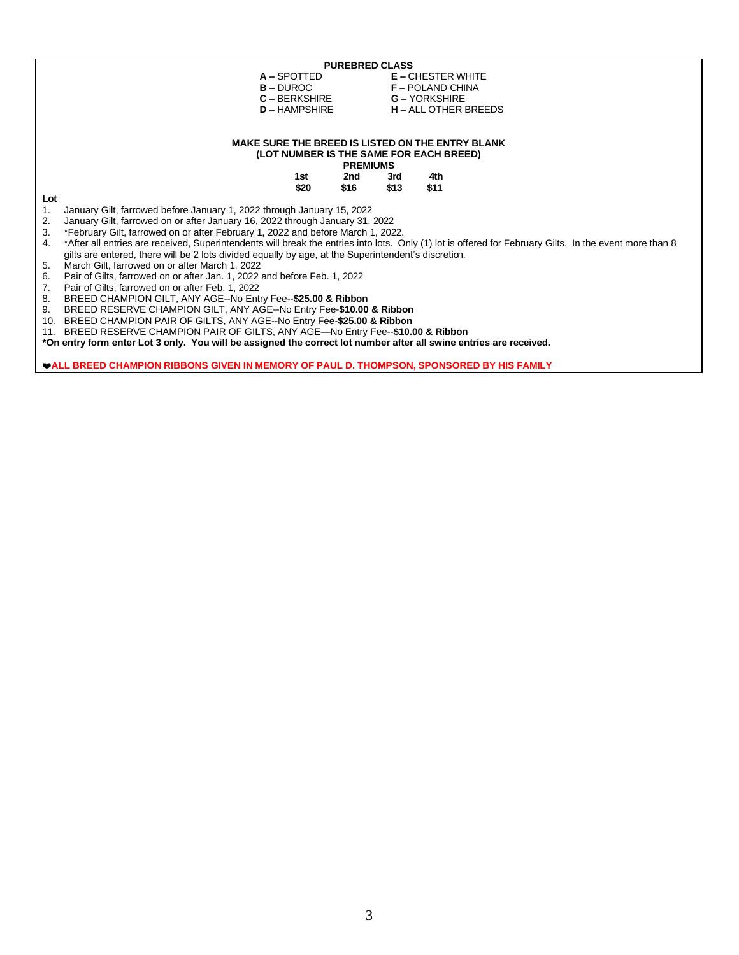|     | <b>PUREBRED CLASS</b>                                                                                                                                   |                 |                             |      |  |  |
|-----|---------------------------------------------------------------------------------------------------------------------------------------------------------|-----------------|-----------------------------|------|--|--|
|     | A - SPOTTED                                                                                                                                             |                 | <b>E-CHESTER WHITE</b>      |      |  |  |
|     | $B - DUROC$                                                                                                                                             |                 | <b>F-POLAND CHINA</b>       |      |  |  |
|     | $C - BERKSHIRE$                                                                                                                                         |                 | <b>G-YORKSHIRE</b>          |      |  |  |
|     | $D - HAMPSHIRE$                                                                                                                                         |                 | <b>H</b> – ALL OTHER BREEDS |      |  |  |
|     |                                                                                                                                                         |                 |                             |      |  |  |
|     |                                                                                                                                                         |                 |                             |      |  |  |
|     | <b>MAKE SURE THE BREED IS LISTED ON THE ENTRY BLANK</b>                                                                                                 |                 |                             |      |  |  |
|     | (LOT NUMBER IS THE SAME FOR EACH BREED)                                                                                                                 |                 |                             |      |  |  |
|     |                                                                                                                                                         | <b>PREMIUMS</b> |                             |      |  |  |
|     | 1st                                                                                                                                                     | 2nd             | 3rd                         | 4th  |  |  |
|     | \$20                                                                                                                                                    | \$16            | \$13                        | \$11 |  |  |
| Lot |                                                                                                                                                         |                 |                             |      |  |  |
| 1.  | January Gilt, farrowed before January 1, 2022 through January 15, 2022                                                                                  |                 |                             |      |  |  |
| 2.  | January Gilt, farrowed on or after January 16, 2022 through January 31, 2022                                                                            |                 |                             |      |  |  |
| 3.  | *February Gilt, farrowed on or after February 1, 2022 and before March 1, 2022.                                                                         |                 |                             |      |  |  |
| 4.  | *After all entries are received, Superintendents will break the entries into lots. Only (1) lot is offered for February Gilts. In the event more than 8 |                 |                             |      |  |  |
|     | gilts are entered, there will be 2 lots divided equally by age, at the Superintendent's discretion.                                                     |                 |                             |      |  |  |
| 5.  | March Gilt, farrowed on or after March 1, 2022                                                                                                          |                 |                             |      |  |  |
| 6.  | Pair of Gilts, farrowed on or after Jan. 1, 2022 and before Feb. 1, 2022                                                                                |                 |                             |      |  |  |
| 7.  | Pair of Gilts, farrowed on or after Feb. 1, 2022                                                                                                        |                 |                             |      |  |  |
| 8.  | BREED CHAMPION GILT, ANY AGE--No Entry Fee--\$25.00 & Ribbon                                                                                            |                 |                             |      |  |  |
| 9.  | BREED RESERVE CHAMPION GILT, ANY AGE--No Entry Fee-\$10.00 & Ribbon                                                                                     |                 |                             |      |  |  |
| 10. | BREED CHAMPION PAIR OF GILTS, ANY AGE--No Entry Fee-\$25.00 & Ribbon                                                                                    |                 |                             |      |  |  |
|     | BREED RESERVE CHAMPION PAIR OF GILTS, ANY AGE—No Entry Fee--\$10.00 & Ribbon<br>11.                                                                     |                 |                             |      |  |  |
|     | *On entry form enter Lot 3 only. You will be assigned the correct lot number after all swine entries are received.                                      |                 |                             |      |  |  |
|     |                                                                                                                                                         |                 |                             |      |  |  |

**ALL BREED CHAMPION RIBBONS GIVEN IN MEMORY OF PAUL D. THOMPSON, SPONSORED BY HIS FAMILY**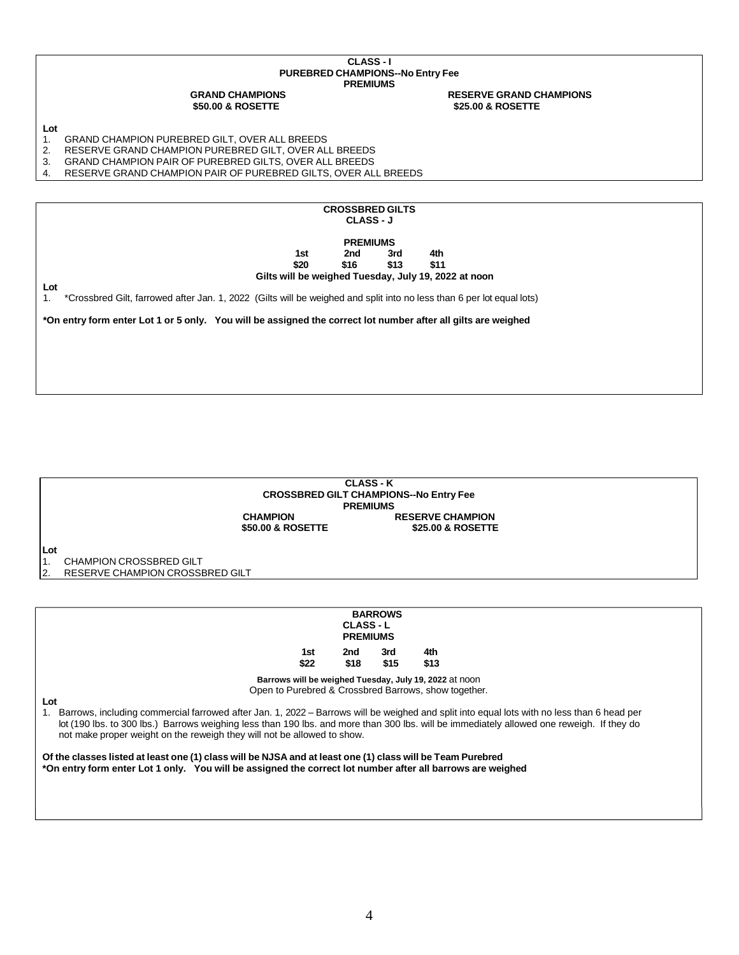### **CLASS - I PUREBRED CHAMPIONS--No Entry Fee PREMIUMS**

**GRAND CHAMPIONS RESERVE GRAND CHAMPIONS \$50.00 & ROSETTE \$25.00 & ROSETTE**

### **Lot**

- 1. GRAND CHAMPION PUREBRED GILT, OVER ALL BREEDS<br>2. RESERVE GRAND CHAMPION PUREBRED GILT, OVER AL
- 2. RESERVE GRAND CHAMPION PUREBRED GILT, OVER ALL BREEDS
- 3. GRAND CHAMPION PAIR OF PUREBRED GILTS, OVER ALL BREEDS
- 4. RESERVE GRAND CHAMPION PAIR OF PUREBRED GILTS, OVER ALL BREEDS





2. RESERVE CHAMPION CROSSBRED GILT

| <b>BARROWS</b><br><b>CLASS-L</b><br><b>PREMIUMS</b>                                                                                                                                                                                                                                                                                                                                                                                                                                                                                                                                                                                                                                                                           |             |             |             |             |  |
|-------------------------------------------------------------------------------------------------------------------------------------------------------------------------------------------------------------------------------------------------------------------------------------------------------------------------------------------------------------------------------------------------------------------------------------------------------------------------------------------------------------------------------------------------------------------------------------------------------------------------------------------------------------------------------------------------------------------------------|-------------|-------------|-------------|-------------|--|
|                                                                                                                                                                                                                                                                                                                                                                                                                                                                                                                                                                                                                                                                                                                               | 1st<br>\$22 | 2nd<br>\$18 | 3rd<br>\$15 | 4th<br>\$13 |  |
| Barrows will be weighed Tuesday, July 19, 2022 at noon<br>Open to Purebred & Crossbred Barrows, show together.<br>Lot<br>Barrows, including commercial farrowed after Jan. 1, 2022 - Barrows will be weighed and split into equal lots with no less than 6 head per<br>1.<br>lot (190 lbs. to 300 lbs.) Barrows weighing less than 190 lbs. and more than 300 lbs. will be immediately allowed one reweigh. If they do<br>not make proper weight on the reweigh they will not be allowed to show.<br>Of the classes listed at least one (1) class will be NJSA and at least one (1) class will be Team Purebred<br>*On entry form enter Lot 1 only. You will be assigned the correct lot number after all barrows are weighed |             |             |             |             |  |